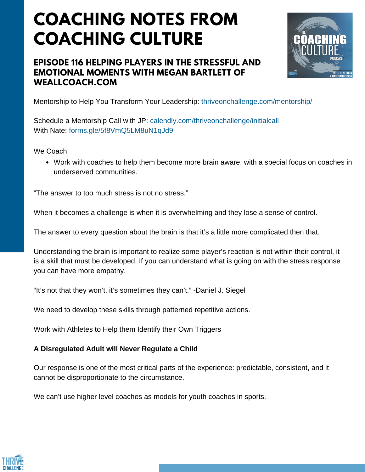# **COACHING NOTES FROM COACHING CULTURE**

### **EPISODE 116 HELPING PLAYERS IN THE STRESSFUL AND EMOTIONAL MOMENTS WITH MEGAN BARTLETT OF WEALLCOACH.COM**



Mentorship to Help You Transform Your Leadership: thriveonchallenge.com/mentorship/

Schedule a Mentorship Call with JP: calendly.com/thriveonchallenge/initialcall With Nate: forms.gle/5f8VmQ5LM8uN1qJd9

We Coach

Work with coaches to help them become more brain aware, with a special focus on coaches in underserved communities.

"The answer to too much stress is not no stress."

When it becomes a challenge is when it is overwhelming and they lose a sense of control.

The answer to every question about the brain is that it's a little more complicated then that.

Understanding the brain is important to realize some player's reaction is not within their control, it is a skill that must be developed. If you can understand what is going on with the stress response you can have more empathy.

"It's not that they won't, it's sometimes they can't." -Daniel J. Siegel

We need to develop these skills through patterned repetitive actions.

Work with Athletes to Help them Identify their Own Triggers

#### **A Disregulated Adult will Never Regulate a Child**

Our response is one of the most critical parts of the experience: predictable, consistent, and it cannot be disproportionate to the circumstance.

We can't use higher level coaches as models for youth coaches in sports.